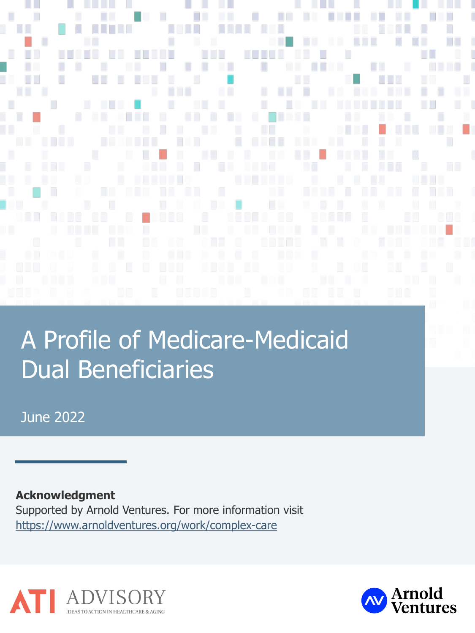**TELEVISION The Company** Π Π . . п n i T ш ×

a se

ш

n n

n a

**College** 

# A Profile of Medicare-Medicaid Dual Beneficiaries

June 2022

**Acknowledgment**

Supported by Arnold Ventures. For more information visit <https://www.arnoldventures.org/work/complex-care>



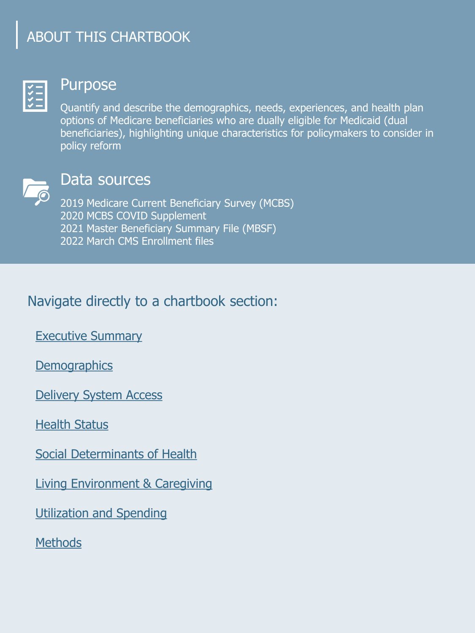### ABOUT THIS CHARTBOOK



#### Purpose

Quantify and describe the demographics, needs, experiences, and health plan options of Medicare beneficiaries who are dually eligible for Medicaid (dual beneficiaries), highlighting unique characteristics for policymakers to consider in policy reform



#### Data sources

2019 Medicare Current Beneficiary Survey (MCBS) 2020 MCBS COVID Supplement 2021 Master Beneficiary Summary File (MBSF) 2022 March CMS Enrollment files

#### Navigate directly to a chartbook section:

[Executive Summary](#page-2-0)

**[Demographics](#page-4-0)** 

[Delivery System Access](#page-12-0) 

[Health Status](#page-17-0)

[Social Determinants of Health](#page-22-0)

[Living Environment & Caregiving](#page-28-0)

[Utilization and Spending](#page-34-0)

**[Methods](#page-44-0)**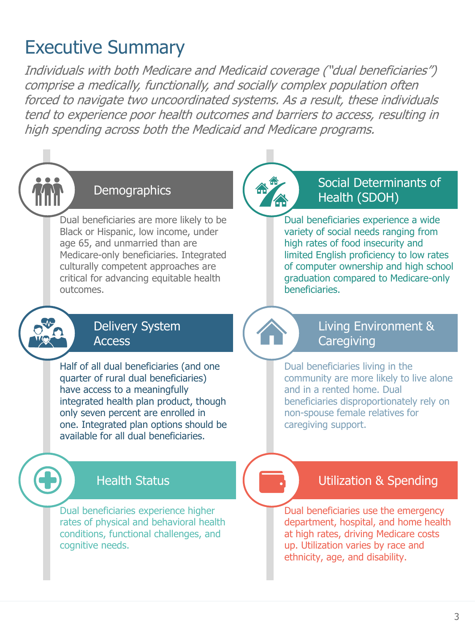### <span id="page-2-0"></span>Executive Summary

Individuals with both Medicare and Medicaid coverage ("dual beneficiaries") comprise a medically, functionally, and socially complex population often forced to navigate two uncoordinated systems. As a result, these individuals tend to experience poor health outcomes and barriers to access, resulting in high spending across both the Medicaid and Medicare programs.



#### **Demographics**

Dual beneficiaries are more likely to be Black or Hispanic, low income, under age 65, and unmarried than are Medicare-only beneficiaries. Integrated culturally competent approaches are critical for advancing equitable health outcomes.



#### Delivery System **Access**

Half of all dual beneficiaries (and one quarter of rural dual beneficiaries) have access to a meaningfully integrated health plan product, though only seven percent are enrolled in one. Integrated plan options should be available for all dual beneficiaries.

#### Social Determinants of Health (SDOH)

Dual beneficiaries experience a wide variety of social needs ranging from high rates of food insecurity and limited English proficiency to low rates of computer ownership and high school graduation compared to Medicare-only beneficiaries.



#### Living Environment & **Caregiving**

Dual beneficiaries living in the community are more likely to live alone and in a rented home. Dual beneficiaries disproportionately rely on non-spouse female relatives for caregiving support.

#### Health Status

Dual beneficiaries experience higher rates of physical and behavioral health conditions, functional challenges, and cognitive needs.

#### Utilization & Spending

Dual beneficiaries use the emergency department, hospital, and home health at high rates, driving Medicare costs up. Utilization varies by race and ethnicity, age, and disability.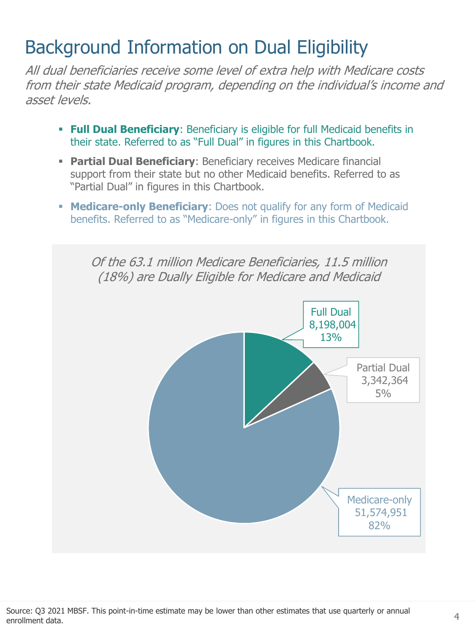## Background Information on Dual Eligibility

All dual beneficiaries receive some level of extra help with Medicare costs from their state Medicaid program, depending on the individual's income and asset levels.

- **Full Dual Beneficiary**: Beneficiary is eligible for full Medicaid benefits in their state. Referred to as "Full Dual" in figures in this Chartbook.
- **Partial Dual Beneficiary:** Beneficiary receives Medicare financial support from their state but no other Medicaid benefits. Referred to as "Partial Dual" in figures in this Chartbook.
- **EXEDERITY: Does not qualify for any form of Medicaid** benefits. Referred to as "Medicare-only" in figures in this Chartbook.

Of the 63.1 million Medicare Beneficiaries, 11.5 million (18%) are Dually Eligible for Medicare and Medicaid

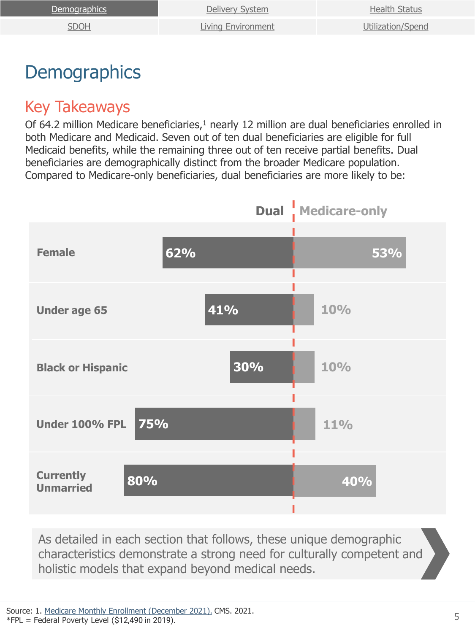<span id="page-4-0"></span>

| Demographics | Delivery System           | <b>Health Status</b> |
|--------------|---------------------------|----------------------|
| <u>SDOH</u>  | <b>Living Environment</b> | Utilization/Spend    |

### **Demographics**

#### Key Takeaways

Of 64.2 million Medicare beneficiaries,<sup>1</sup> nearly 12 million are dual beneficiaries enrolled in both Medicare and Medicaid. Seven out of ten dual beneficiaries are eligible for full Medicaid benefits, while the remaining three out of ten receive partial benefits. Dual beneficiaries are demographically distinct from the broader Medicare population. Compared to Medicare-only beneficiaries, dual beneficiaries are more likely to be:



As detailed in each section that follows, these unique demographic characteristics demonstrate a strong need for culturally competent and holistic models that expand beyond medical needs.

Source: 1. [Medicare Monthly Enrollment \(December 2021\).](https://data.cms.gov/summary-statistics-on-beneficiary-enrollment/medicare-and-medicaid-reports/medicare-monthly-enrollment/data) CMS. 2021.  $*FPL = Federal Powerty Level ($12,490 in 2019).$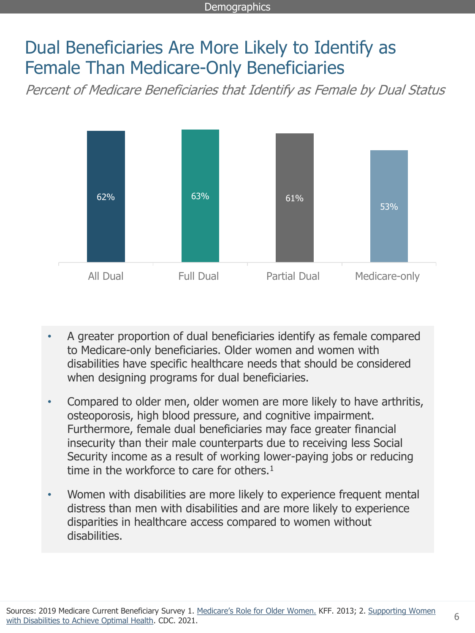### Dual Beneficiaries Are More Likely to Identify as Female Than Medicare-Only Beneficiaries

Percent of Medicare Beneficiaries that Identify as Female by Dual Status



- A greater proportion of dual beneficiaries identify as female compared to Medicare-only beneficiaries. Older women and women with disabilities have specific healthcare needs that should be considered when designing programs for dual beneficiaries.
- Compared to older men, older women are more likely to have arthritis, osteoporosis, high blood pressure, and cognitive impairment. Furthermore, female dual beneficiaries may face greater financial insecurity than their male counterparts due to receiving less Social Security income as a result of working lower-paying jobs or reducing time in the workforce to care for others.<sup>1</sup>
- Women with disabilities are more likely to experience frequent mental distress than men with disabilities and are more likely to experience disparities in healthcare access compared to women without disabilities.

6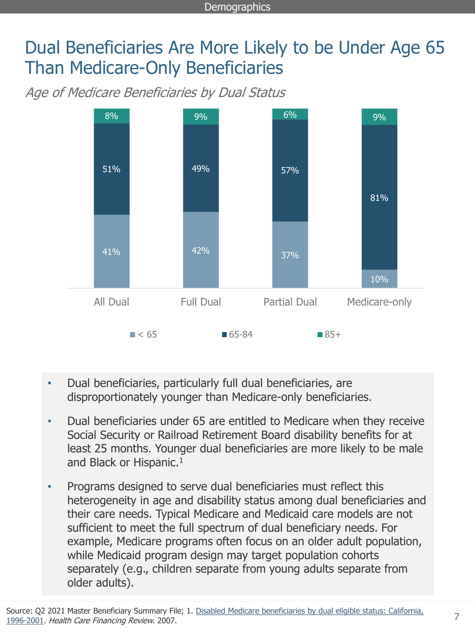### Dual Beneficiaries Are More Likely to be Under Age 65 Than Medicare-Only Beneficiaries

Age of Medicare Beneficiaries by Dual Status



- Dual beneficiaries, particularly full dual beneficiaries, are disproportionately younger than Medicare-only beneficiaries.
- Dual beneficiaries under 65 are entitled to Medicare when they receive Social Security or Railroad Retirement Board disability benefits for at least 25 months. Younger dual beneficiaries are more likely to be male and Black or Hispanic.<sup>1</sup>
- Programs designed to serve dual beneficiaries must reflect this heterogeneity in age and disability status among dual beneficiaries and their care needs. Typical Medicare and Medicaid care models are not sufficient to meet the full spectrum of dual beneficiary needs. For example, Medicare programs often focus on an older adult population, while Medicaid program design may target population cohorts separately (e.g., children separate from young adults separate from older adults).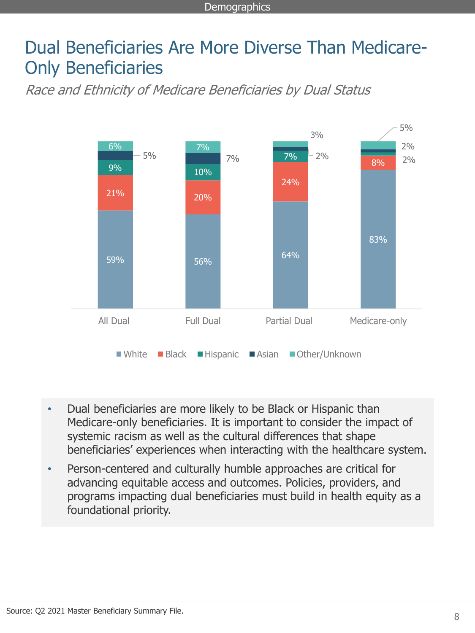#### Dual Beneficiaries Are More Diverse Than Medicare-Only Beneficiaries

Race and Ethnicity of Medicare Beneficiaries by Dual Status



- Dual beneficiaries are more likely to be Black or Hispanic than Medicare-only beneficiaries. It is important to consider the impact of systemic racism as well as the cultural differences that shape beneficiaries' experiences when interacting with the healthcare system.
- Person-centered and culturally humble approaches are critical for advancing equitable access and outcomes. Policies, providers, and programs impacting dual beneficiaries must build in health equity as a foundational priority.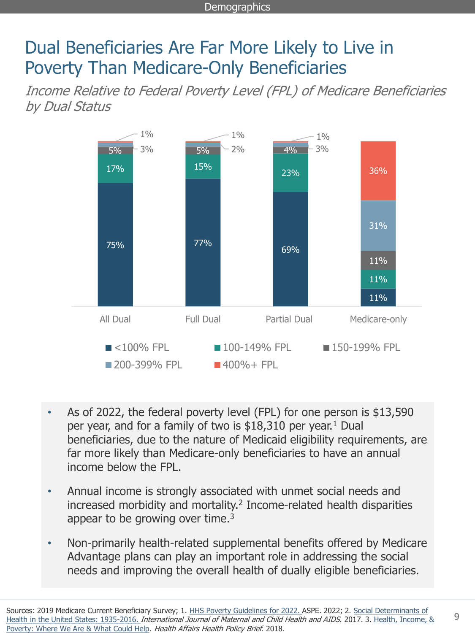### Dual Beneficiaries Are Far More Likely to Live in Poverty Than Medicare-Only Beneficiaries

Income Relative to Federal Poverty Level (FPL) of Medicare Beneficiaries by Dual Status



- As of 2022, the federal poverty level (FPL) for one person is \$13,590 per year, and for a family of two is  $$18,310$  per year.<sup>1</sup> Dual beneficiaries, due to the nature of Medicaid eligibility requirements, are far more likely than Medicare-only beneficiaries to have an annual income below the FPL.
- Annual income is strongly associated with unmet social needs and increased morbidity and mortality.<sup>2</sup> Income-related health disparities appear to be growing over time. $3$
- Non-primarily health-related supplemental benefits offered by Medicare Advantage plans can play an important role in addressing the social needs and improving the overall health of dually eligible beneficiaries.

9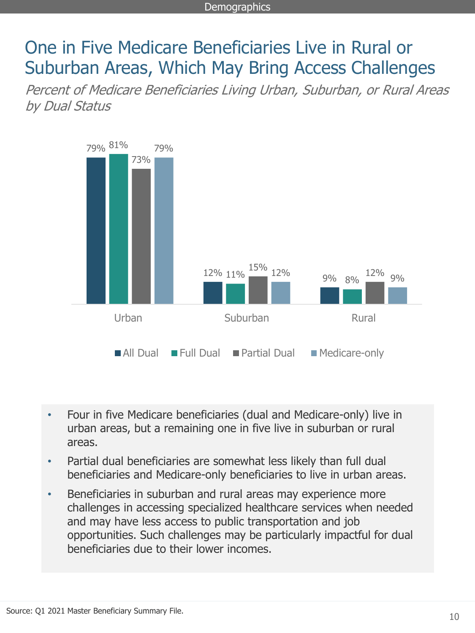#### One in Five Medicare Beneficiaries Live in Rural or Suburban Areas, Which May Bring Access Challenges

Percent of Medicare Beneficiaries Living Urban, Suburban, or Rural Areas by Dual Status



- Four in five Medicare beneficiaries (dual and Medicare-only) live in urban areas, but a remaining one in five live in suburban or rural areas.
- Partial dual beneficiaries are somewhat less likely than full dual beneficiaries and Medicare-only beneficiaries to live in urban areas.
- Beneficiaries in suburban and rural areas may experience more challenges in accessing specialized healthcare services when needed and may have less access to public transportation and job opportunities. Such challenges may be particularly impactful for dual beneficiaries due to their lower incomes.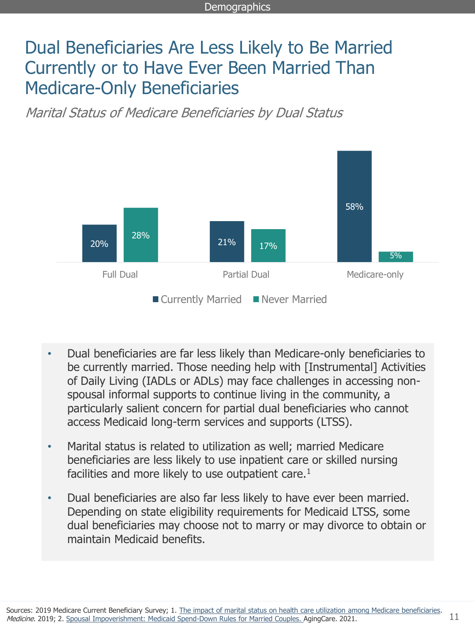### Dual Beneficiaries Are Less Likely to Be Married Currently or to Have Ever Been Married Than Medicare-Only Beneficiaries

Marital Status of Medicare Beneficiaries by Dual Status



- Dual beneficiaries are far less likely than Medicare-only beneficiaries to be currently married. Those needing help with [Instrumental] Activities of Daily Living (IADLs or ADLs) may face challenges in accessing nonspousal informal supports to continue living in the community, a particularly salient concern for partial dual beneficiaries who cannot access Medicaid long-term services and supports (LTSS).
- Marital status is related to utilization as well; married Medicare beneficiaries are less likely to use inpatient care or skilled nursing facilities and more likely to use outpatient care.<sup>1</sup>
- Dual beneficiaries are also far less likely to have ever been married. Depending on state eligibility requirements for Medicaid LTSS, some dual beneficiaries may choose not to marry or may divorce to obtain or maintain Medicaid benefits.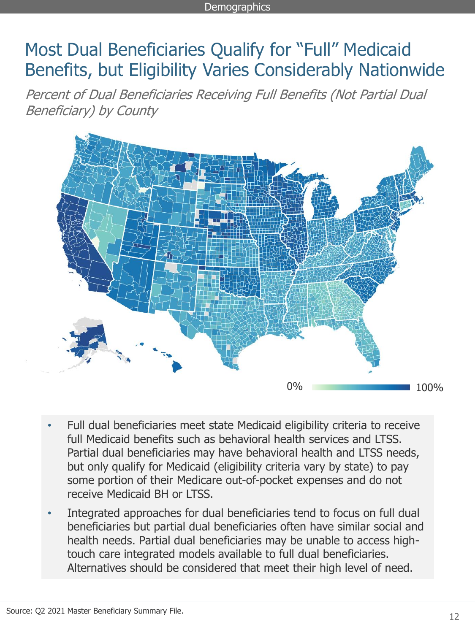### Most Dual Beneficiaries Qualify for "Full" Medicaid Benefits, but Eligibility Varies Considerably Nationwide

Percent of Dual Beneficiaries Receiving Full Benefits (Not Partial Dual Beneficiary) by County



- Full dual beneficiaries meet state Medicaid eligibility criteria to receive full Medicaid benefits such as behavioral health services and LTSS. Partial dual beneficiaries may have behavioral health and LTSS needs, but only qualify for Medicaid (eligibility criteria vary by state) to pay some portion of their Medicare out-of-pocket expenses and do not receive Medicaid BH or LTSS.
- Integrated approaches for dual beneficiaries tend to focus on full dual beneficiaries but partial dual beneficiaries often have similar social and health needs. Partial dual beneficiaries may be unable to access hightouch care integrated models available to full dual beneficiaries. Alternatives should be considered that meet their high level of need.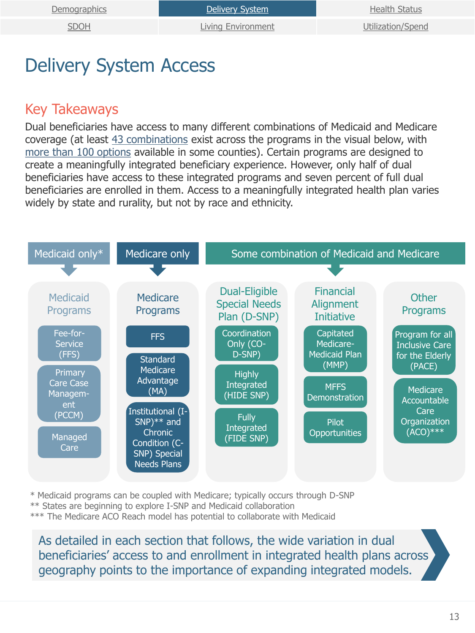[SDOH](#page-22-0) [Living Environment](#page-28-0) [Utilization/Spend](#page-34-0)

# <span id="page-12-0"></span>Delivery System Access

#### Key Takeaways

Dual beneficiaries have access to many different combinations of Medicaid and Medicare coverage (at least [43 combinations](https://atiadvisory.com/making-sense-of-medicare-medicaid-integration-models/) exist across the programs in the visual below, with [more than 100 options](https://atiadvisory.com/is-too-much-choice-a-bad-thing/) available in some counties). Certain programs are designed to create a meaningfully integrated beneficiary experience. However, only half of dual beneficiaries have access to these integrated programs and seven percent of full dual beneficiaries are enrolled in them. Access to a meaningfully integrated health plan varies widely by state and rurality, but not by race and ethnicity.



\* Medicaid programs can be coupled with Medicare; typically occurs through D-SNP \*\* States are beginning to explore I-SNP and Medicaid collaboration

\*\*\* The Medicare ACO Reach model has potential to collaborate with Medicaid

As detailed in each section that follows, the wide variation in dual beneficiaries' access to and enrollment in integrated health plans across geography points to the importance of expanding integrated models.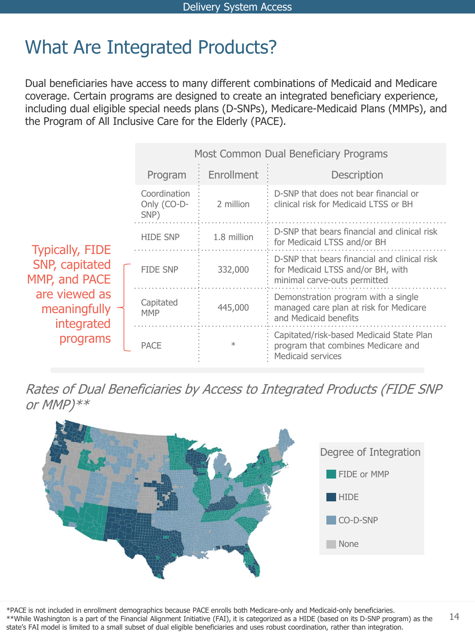### What Are Integrated Products?

Dual beneficiaries have access to many different combinations of Medicaid and Medicare coverage. Certain programs are designed to create an integrated beneficiary experience, including dual eligible special needs plans (D-SNPs), Medicare-Medicaid Plans (MMPs), and the Program of All Inclusive Care for the Elderly (PACE).

|                                                                                                                      |                                     | Most Common Dual Beneficiary Programs |                                                                                                                   |  |  |
|----------------------------------------------------------------------------------------------------------------------|-------------------------------------|---------------------------------------|-------------------------------------------------------------------------------------------------------------------|--|--|
|                                                                                                                      | Program                             | Enrollment                            | <b>Description</b>                                                                                                |  |  |
|                                                                                                                      | Coordination<br>Only (CO-D-<br>SNP) | 2 million                             | D-SNP that does not bear financial or<br>clinical risk for Medicaid LTSS or BH                                    |  |  |
| <b>Typically, FIDE</b><br>SNP, capitated<br>MMP, and PACE<br>are viewed as<br>meaningfully<br>integrated<br>programs | <b>HIDE SNP</b>                     | 1.8 million                           | D-SNP that bears financial and clinical risk<br>for Medicaid LTSS and/or BH                                       |  |  |
|                                                                                                                      | <b>FIDE SNP</b>                     | 332,000                               | D-SNP that bears financial and clinical risk<br>for Medicaid LTSS and/or BH, with<br>minimal carve-outs permitted |  |  |
|                                                                                                                      | Capitated<br><b>MMP</b>             | 445,000                               | Demonstration program with a single<br>managed care plan at risk for Medicare<br>and Medicaid benefits            |  |  |
|                                                                                                                      | <b>PACE</b>                         | $\ast$                                | Capitated/risk-based Medicaid State Plan<br>program that combines Medicare and<br>Medicaid services               |  |  |

Rates of Dual Beneficiaries by Access to Integrated Products (FIDE SNP or MMP)\*\*



\*PACE is not included in enrollment demographics because PACE enrolls both Medicare-only and Medicaid-only beneficiaries. \*\*While Washington is a part of the Financial Alignment Initiative (FAI), it is categorized as a HIDE (based on its D-SNP program) as the state's FAI model is limited to a small subset of dual eligible beneficiaries and uses robust coordination, rather than integration.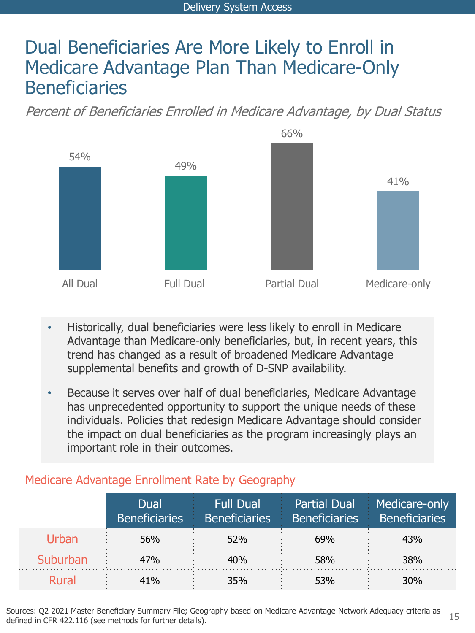### Dual Beneficiaries Are More Likely to Enroll in Medicare Advantage Plan Than Medicare-Only **Beneficiaries**

Percent of Beneficiaries Enrolled in Medicare Advantage, by Dual Status



- Historically, dual beneficiaries were less likely to enroll in Medicare Advantage than Medicare-only beneficiaries, but, in recent years, this trend has changed as a result of broadened Medicare Advantage supplemental benefits and growth of D-SNP availability.
- Because it serves over half of dual beneficiaries, Medicare Advantage has unprecedented opportunity to support the unique needs of these individuals. Policies that redesign Medicare Advantage should consider the impact on dual beneficiaries as the program increasingly plays an important role in their outcomes.

|          | Dual<br><b>Beneficiaries</b> | Full Dual<br><b>Beneficiaries</b> | <b>Beneficiaries</b> | Partial Dual Medicare-only<br><b>Beneficiaries</b> |
|----------|------------------------------|-----------------------------------|----------------------|----------------------------------------------------|
|          | 56%                          | 52%                               | 69%                  | 43%                                                |
| Suburban | 47%                          | 40%                               | 58%                  | 38%                                                |
| Rural    | 41%                          | 35%                               | 53%                  | 30%                                                |

#### Medicare Advantage Enrollment Rate by Geography

Sources: Q2 2021 Master Beneficiary Summary File; Geography based on Medicare Advantage Network Adequacy criteria as defined in CFR 422.116 (see methods for further details).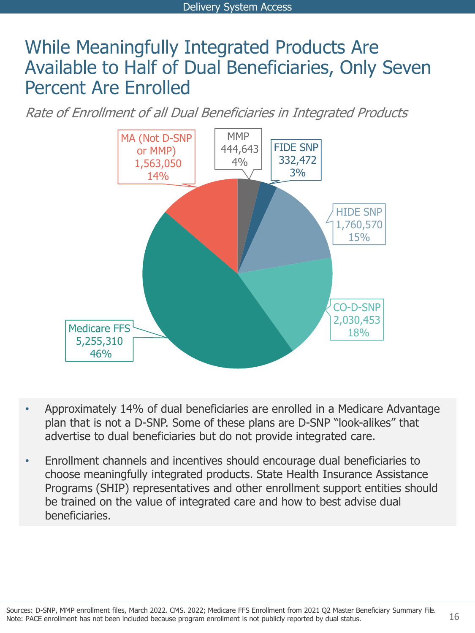### While Meaningfully Integrated Products Are Available to Half of Dual Beneficiaries, Only Seven Percent Are Enrolled

Rate of Enrollment of all Dual Beneficiaries in Integrated Products



- Approximately 14% of dual beneficiaries are enrolled in a Medicare Advantage plan that is not a D-SNP. Some of these plans are D-SNP "look-alikes" that advertise to dual beneficiaries but do not provide integrated care.
- Enrollment channels and incentives should encourage dual beneficiaries to choose meaningfully integrated products. State Health Insurance Assistance Programs (SHIP) representatives and other enrollment support entities should be trained on the value of integrated care and how to best advise dual beneficiaries.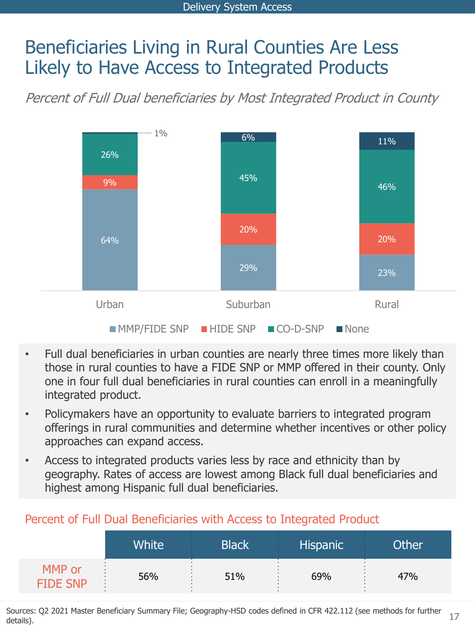### Beneficiaries Living in Rural Counties Are Less Likely to Have Access to Integrated Products

Percent of Full Dual beneficiaries by Most Integrated Product in County



- Full dual beneficiaries in urban counties are nearly three times more likely than those in rural counties to have a FIDE SNP or MMP offered in their county. Only one in four full dual beneficiaries in rural counties can enroll in a meaningfully integrated product.
- Policymakers have an opportunity to evaluate barriers to integrated program offerings in rural communities and determine whether incentives or other policy approaches can expand access.
- Access to integrated products varies less by race and ethnicity than by geography. Rates of access are lowest among Black full dual beneficiaries and highest among Hispanic full dual beneficiaries.

|                           | Terestic of Tall Dadi Deficileratios With Access to Integrated Trouder |                    |                 |       |
|---------------------------|------------------------------------------------------------------------|--------------------|-----------------|-------|
|                           | <b>White</b>                                                           | Black <sup>1</sup> | <b>Hispanic</b> | Other |
| MMP or<br><b>FIDE SNP</b> | 56%                                                                    | 51%                | 69%             | 47%   |

#### Percent of Full Dual Beneficiaries with Access to Integrated Product

17 Sources: Q2 2021 Master Beneficiary Summary File; Geography-HSD codes defined in CFR 422.112 (see methods for further details).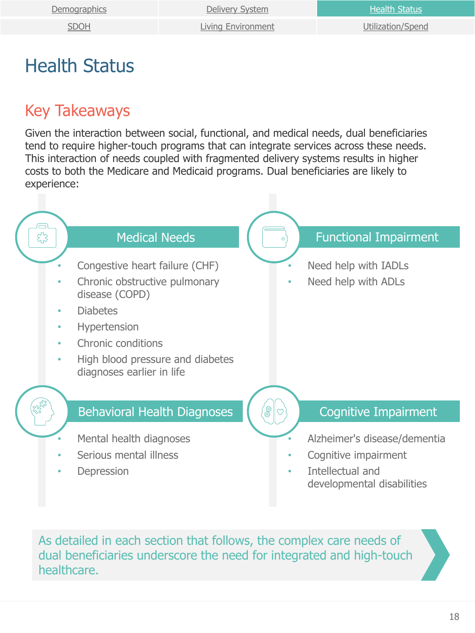<span id="page-17-0"></span>

| <u>Demographics</u> | Delivery System           | <b>Health Status</b> |
|---------------------|---------------------------|----------------------|
| <b>SDOH</b>         | <b>Living Environment</b> | Utilization/Spend    |

### Health Status

#### Key Takeaways

Given the interaction between social, functional, and medical needs, dual beneficiaries tend to require higher-touch programs that can integrate services across these needs. This interaction of needs coupled with fragmented delivery systems results in higher costs to both the Medicare and Medicaid programs. Dual beneficiaries are likely to experience:



As detailed in each section that follows, the complex care needs of dual beneficiaries underscore the need for integrated and high-touch healthcare.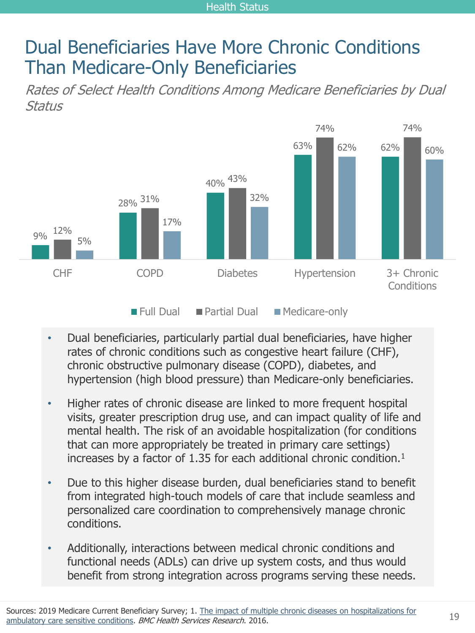### Dual Beneficiaries Have More Chronic Conditions Than Medicare-Only Beneficiaries

Rates of Select Health Conditions Among Medicare Beneficiaries by Dual Status



- Dual beneficiaries, particularly partial dual beneficiaries, have higher rates of chronic conditions such as congestive heart failure (CHF), chronic obstructive pulmonary disease (COPD), diabetes, and hypertension (high blood pressure) than Medicare-only beneficiaries.
- Higher rates of chronic disease are linked to more frequent hospital visits, greater prescription drug use, and can impact quality of life and mental health. The risk of an avoidable hospitalization (for conditions that can more appropriately be treated in primary care settings) increases by a factor of 1.35 for each additional chronic condition.<sup>1</sup>
- Due to this higher disease burden, dual beneficiaries stand to benefit from integrated high-touch models of care that include seamless and personalized care coordination to comprehensively manage chronic conditions.
- Additionally, interactions between medical chronic conditions and functional needs (ADLs) can drive up system costs, and thus would benefit from strong integration across programs serving these needs.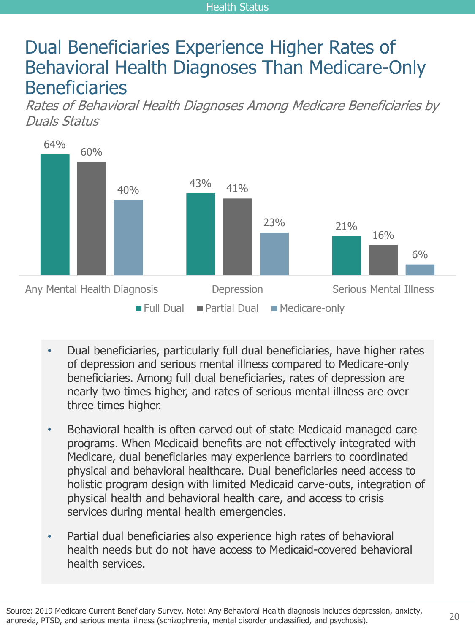#### Health Status

### Dual Beneficiaries Experience Higher Rates of Behavioral Health Diagnoses Than Medicare-Only **Beneficiaries**

Rates of Behavioral Health Diagnoses Among Medicare Beneficiaries by Duals Status



- Dual beneficiaries, particularly full dual beneficiaries, have higher rates of depression and serious mental illness compared to Medicare-only beneficiaries. Among full dual beneficiaries, rates of depression are nearly two times higher, and rates of serious mental illness are over three times higher.
- Behavioral health is often carved out of state Medicaid managed care programs. When Medicaid benefits are not effectively integrated with Medicare, dual beneficiaries may experience barriers to coordinated physical and behavioral healthcare. Dual beneficiaries need access to holistic program design with limited Medicaid carve-outs, integration of physical health and behavioral health care, and access to crisis services during mental health emergencies.
- Partial dual beneficiaries also experience high rates of behavioral health needs but do not have access to Medicaid-covered behavioral health services.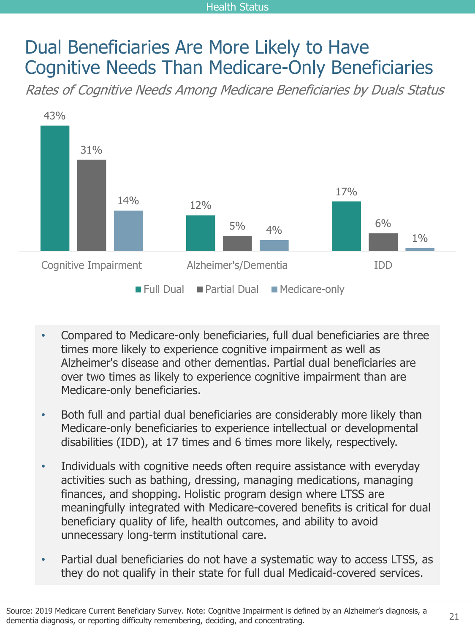#### Health Status

### Dual Beneficiaries Are More Likely to Have Cognitive Needs Than Medicare-Only Beneficiaries

Rates of Cognitive Needs Among Medicare Beneficiaries by Duals Status



- Compared to Medicare-only beneficiaries, full dual beneficiaries are three times more likely to experience cognitive impairment as well as Alzheimer's disease and other dementias. Partial dual beneficiaries are over two times as likely to experience cognitive impairment than are Medicare-only beneficiaries.
- Both full and partial dual beneficiaries are considerably more likely than Medicare-only beneficiaries to experience intellectual or developmental disabilities (IDD), at 17 times and 6 times more likely, respectively.
- Individuals with cognitive needs often require assistance with everyday activities such as bathing, dressing, managing medications, managing finances, and shopping. Holistic program design where LTSS are meaningfully integrated with Medicare-covered benefits is critical for dual beneficiary quality of life, health outcomes, and ability to avoid unnecessary long-term institutional care.
- Partial dual beneficiaries do not have a systematic way to access LTSS, as they do not qualify in their state for full dual Medicaid-covered services.

21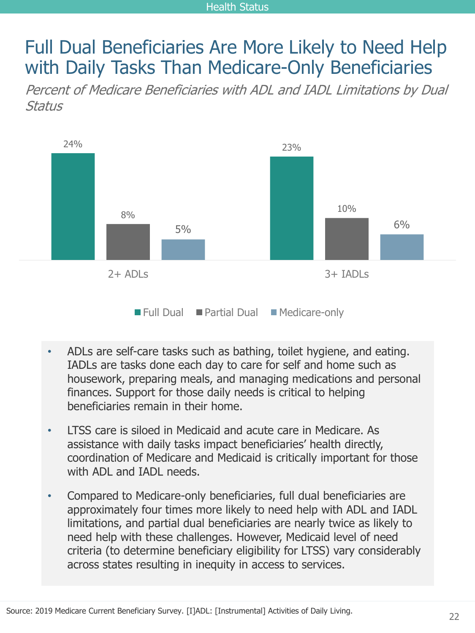### <span id="page-21-0"></span>Full Dual Beneficiaries Are More Likely to Need Help with Daily Tasks Than Medicare-Only Beneficiaries

Percent of Medicare Beneficiaries with ADL and IADL Limitations by Dual Status



- ADLs are self-care tasks such as bathing, toilet hygiene, and eating. IADLs are tasks done each day to care for self and home such as housework, preparing meals, and managing medications and personal finances. Support for those daily needs is critical to helping beneficiaries remain in their home.
- LTSS care is siloed in Medicaid and acute care in Medicare. As assistance with daily tasks impact beneficiaries' health directly, coordination of Medicare and Medicaid is critically important for those with ADL and IADL needs.
- Compared to Medicare-only beneficiaries, full dual beneficiaries are approximately four times more likely to need help with ADL and IADL limitations, and partial dual beneficiaries are nearly twice as likely to need help with these challenges. However, Medicaid level of need criteria (to determine beneficiary eligibility for LTSS) vary considerably across states resulting in inequity in access to services.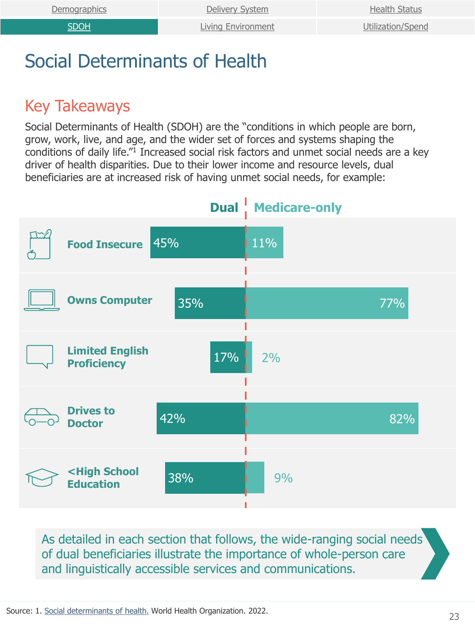### <span id="page-22-0"></span>Social Determinants of Health

#### Key Takeaways

Social Determinants of Health (SDOH) are the "conditions in which people are born, grow, work, live, and age, and the wider set of forces and systems shaping the conditions of daily life."<sup>1</sup> Increased social risk factors and unmet social needs are a key driver of health disparities. Due to their lower income and resource levels, dual beneficiaries are at increased risk of having unmet social needs, for example:



As detailed in each section that follows, the wide-ranging social needs of dual beneficiaries illustrate the importance of whole-person care and linguistically accessible services and communications.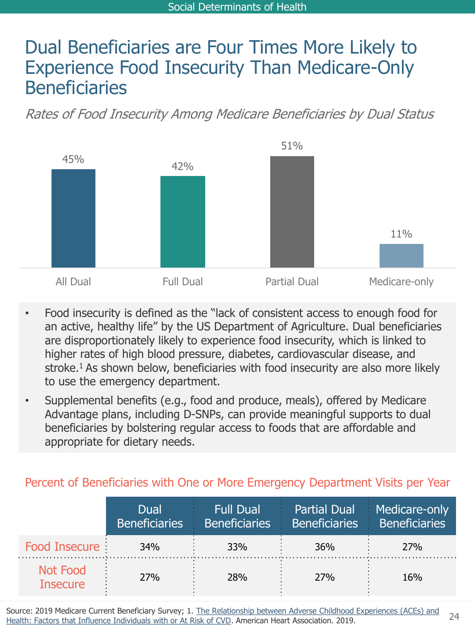### Dual Beneficiaries are Four Times More Likely to Experience Food Insecurity Than Medicare-Only Beneficiaries

Rates of Food Insecurity Among Medicare Beneficiaries by Dual Status



- Food insecurity is defined as the "lack of consistent access to enough food for an active, healthy life" by the US Department of Agriculture. Dual beneficiaries are disproportionately likely to experience food insecurity, which is linked to higher rates of high blood pressure, diabetes, cardiovascular disease, and stroke.<sup>1</sup> As shown below, beneficiaries with food insecurity are also more likely to use the emergency department.
- Supplemental benefits (e.g., food and produce, meals), offered by Medicare Advantage plans, including D-SNPs, can provide meaningful supports to dual beneficiaries by bolstering regular access to foods that are affordable and appropriate for dietary needs.

#### Percent of Beneficiaries with One or More Emergency Department Visits per Year

|                                    | Dual<br><b>Beneficiaries</b> | <b>Full Dual</b><br>Beneficiaries | <b>Partial Dual</b><br>Beneficiaries b | Medicare-only<br>Beneficiaries |
|------------------------------------|------------------------------|-----------------------------------|----------------------------------------|--------------------------------|
| Food Insecure:                     | 34%                          | <b>33%</b>                        | 36%                                    | 27%                            |
| <b>Not Food</b><br><b>Insecure</b> | <b>27%</b>                   | <b>28%</b>                        | <b>27%</b>                             | 16%                            |

[Source: 2019 Medicare Current Beneficiary Survey; 1. The Relationship between Adverse Childhood Experiences \(ACEs\) and](heart.org/-/media/files/about-us/policy-research/policy-positions/social-determinants-of-health/aces-policy-statement.pdf?la=en#:~:text=7%20Research%20has%20found%20that,conditions%2C%20and%20dental%20health%20p) Health: Factors that Influence Individuals with or At Risk of CVD. American Heart Association. 2019.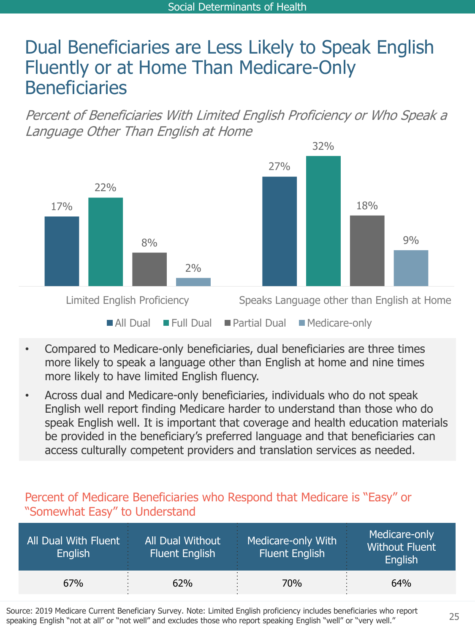### Dual Beneficiaries are Less Likely to Speak English Fluently or at Home Than Medicare-Only **Beneficiaries**

Percent of Beneficiaries With Limited English Proficiency or Who Speak a Language Other Than English at Home



- Compared to Medicare-only beneficiaries, dual beneficiaries are three times more likely to speak a language other than English at home and nine times more likely to have limited English fluency.
- Across dual and Medicare-only beneficiaries, individuals who do not speak English well report finding Medicare harder to understand than those who do speak English well. It is important that coverage and health education materials be provided in the beneficiary's preferred language and that beneficiaries can access culturally competent providers and translation services as needed.

#### Percent of Medicare Beneficiaries who Respond that Medicare is "Easy" or "Somewhat Easy" to Understand

| All Dual With Fluent<br><b>English</b> | All Dual Without<br><b>Fluent English</b> | Medicare-only With<br><b>Fluent English</b> | Medicare-only<br><b>Without Fluent</b><br>English |
|----------------------------------------|-------------------------------------------|---------------------------------------------|---------------------------------------------------|
| 67%                                    | 62%                                       | 70%                                         | 64%                                               |

Source: 2019 Medicare Current Beneficiary Survey. Note: Limited English proficiency includes beneficiaries who report speaking English "not at all" or "not well" and excludes those who report speaking English "well" or "very well."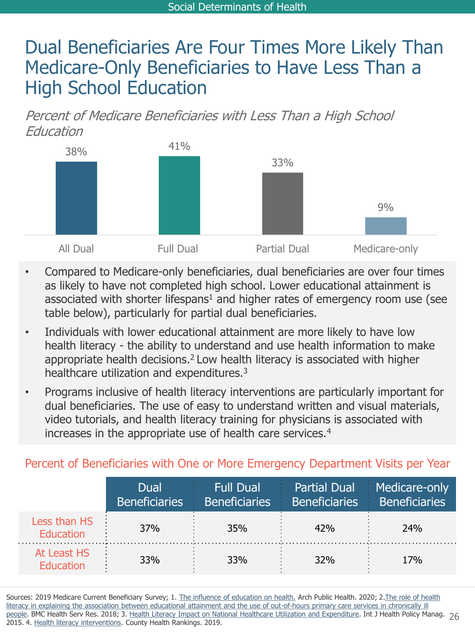### Dual Beneficiaries Are Four Times More Likely Than Medicare-Only Beneficiaries to Have Less Than a High School Education

Percent of Medicare Beneficiaries with Less Than a High School Education



- Compared to Medicare-only beneficiaries, dual beneficiaries are over four times as likely to have not completed high school. Lower educational attainment is associated with shorter lifespans<sup>1</sup> and higher rates of emergency room use (see table below), particularly for partial dual beneficiaries.
- Individuals with lower educational attainment are more likely to have low health literacy - the ability to understand and use health information to make appropriate health decisions.<sup>2</sup> Low health literacy is associated with higher healthcare utilization and expenditures.<sup>3</sup>
- Programs inclusive of health literacy interventions are particularly important for dual beneficiaries. The use of easy to understand written and visual materials, video tutorials, and health literacy training for physicians is associated with increases in the appropriate use of health care services.<sup>4</sup>

#### Percent of Beneficiaries with One or More Emergency Department Visits per Year

|                                 | Dual<br><b>Beneficiaries</b> | <b>Full Dual</b><br><b>Beneficiaries</b> |            | Partial Dual Medicare-only<br>Beneficiaries Beneficiaries |
|---------------------------------|------------------------------|------------------------------------------|------------|-----------------------------------------------------------|
| Less than HS<br>Education       | 37%                          | 35%                                      | 42%        | 24%                                                       |
| At Least HS<br><b>Education</b> | 33%                          | <b>33%</b>                               | <b>32%</b> | 17 <sub>%</sub>                                           |

[people. BMC Health Serv Res. 2018; 3. Health Literacy Impact on National Healthcare Utilization and Expenditure. Int J Health Policy Manag](https://bmchealthservres.biomedcentral.com/articles/10.1186/s12913-018-3197-4#:~:text=Higher%20education%20attainment%20was%20associated,educational%20differences%20in%20PCS%20use). 26 Sources: 2019 Medicare Current Beneficiary Survey; 1. [The influence of education on health.](https://archpublichealth.biomedcentral.com/articles/10.1186/s13690-020-00402-5) Arch Public Health. 2020; 2. The role of health literacy in explaining the association between educational attainment and the use of out-of-hours primary care services in chronically ill 2015. 4. [Health literacy interventions.](https://www.countyhealthrankings.org/take-action-to-improve-health/what-works-for-health/strategies/health-literacy-interventions#:~:text=Approaches%20to%20addressing%20limited%20health,literacy%20skills%2C%20such%20as%20the) County Health Rankings. 2019.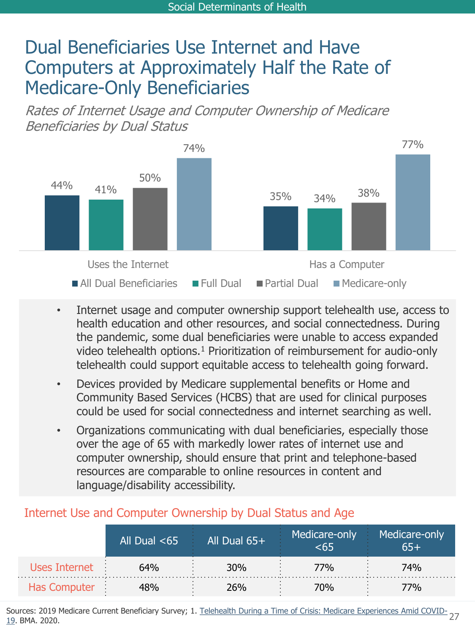### Dual Beneficiaries Use Internet and Have Computers at Approximately Half the Rate of Medicare-Only Beneficiaries

Rates of Internet Usage and Computer Ownership of Medicare Beneficiaries by Dual Status



- Internet usage and computer ownership support telehealth use, access to health education and other resources, and social connectedness. During the pandemic, some dual beneficiaries were unable to access expanded video telehealth options.<sup>1</sup> Prioritization of reimbursement for audio-only telehealth could support equitable access to telehealth going forward.
- Devices provided by Medicare supplemental benefits or Home and Community Based Services (HCBS) that are used for clinical purposes could be used for social connectedness and internet searching as well.
- Organizations communicating with dual beneficiaries, especially those over the age of 65 with markedly lower rates of internet use and computer ownership, should ensure that print and telephone-based resources are comparable to online resources in content and language/disability accessibility.

|                     | All Dual $<$ 65 | All Dual $65+$ | Medicare-only | Medicare-only |
|---------------------|-----------------|----------------|---------------|---------------|
| Uses Internet       | 64%             | 30%            | 77%           | 74%           |
| <b>Has Computer</b> |                 | 26%            | 70%           | 7%            |

#### Internet Use and Computer Ownership by Dual Status and Age

Sources: 2019 Medicare Current Beneficiary Survey; 1. <u>Telehealth During a Time of Crisis: Medicare Experiences Amid COVID-</u><br>19. BMA .2020 19. BMA. 2020.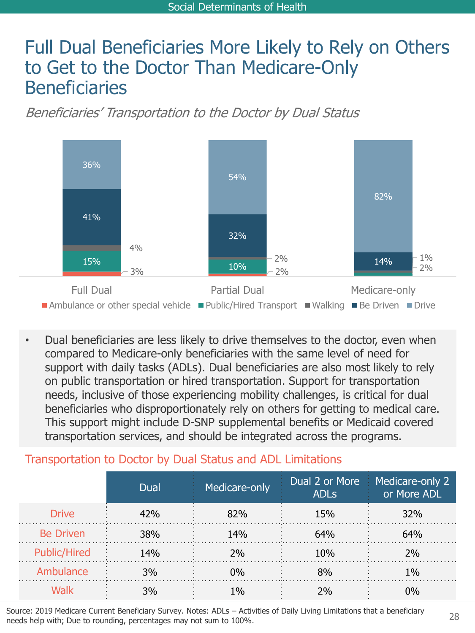### Full Dual Beneficiaries More Likely to Rely on Others to Get to the Doctor Than Medicare-Only Beneficiaries

Beneficiaries' Transportation to the Doctor by Dual Status



• Dual beneficiaries are less likely to drive themselves to the doctor, even when compared to Medicare-only beneficiaries with the same level of need for support with daily tasks (ADLs). Dual beneficiaries are also most likely to rely on public transportation or hired transportation. Support for transportation needs, inclusive of those experiencing mobility challenges, is critical for dual beneficiaries who disproportionately rely on others for getting to medical care. This support might include D-SNP supplemental benefits or Medicaid covered transportation services, and should be integrated across the programs.

#### Transportation to Doctor by Dual Status and ADL Limitations

|                     | Dual       | Medicare-only | <b>ADLS</b> | Dual 2 or More Medicare-only 2<br>or More ADL |
|---------------------|------------|---------------|-------------|-----------------------------------------------|
| <b>Drive</b>        | 42%        | 82%           | 15%         | 32%                                           |
| <b>Be Driven</b>    | <b>38%</b> | 14%           | 64%         | 64%                                           |
| <b>Public/Hired</b> | <b>14%</b> | 2%            | 10%         | ን‰                                            |
| Ambulance           | 3%         | በ%            | 8%          | 1%                                            |
|                     | 3%         | $1\%$         | ን‰          |                                               |

Source: 2019 Medicare Current Beneficiary Survey. Notes: ADLs – Activities of Daily Living Limitations that a beneficiary needs help with; Due to rounding, percentages may not sum to 100%.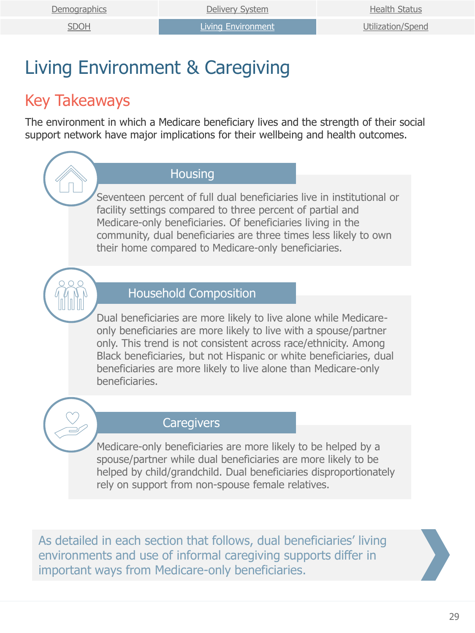# <span id="page-28-0"></span>Living Environment & Caregiving

#### Key Takeaways

The environment in which a Medicare beneficiary lives and the strength of their social support network have major implications for their wellbeing and health outcomes.

#### **Housing**

Seventeen percent of full dual beneficiaries live in institutional or facility settings compared to three percent of partial and Medicare-only beneficiaries. Of beneficiaries living in the community, dual beneficiaries are three times less likely to own their home compared to Medicare-only beneficiaries.



#### Household Composition

Dual beneficiaries are more likely to live alone while Medicareonly beneficiaries are more likely to live with a spouse/partner only. This trend is not consistent across race/ethnicity. Among Black beneficiaries, but not Hispanic or white beneficiaries, dual beneficiaries are more likely to live alone than Medicare-only beneficiaries.



#### **Caregivers**

Medicare-only beneficiaries are more likely to be helped by a spouse/partner while dual beneficiaries are more likely to be helped by child/grandchild. Dual beneficiaries disproportionately rely on support from non-spouse female relatives.

As detailed in each section that follows, dual beneficiaries' living environments and use of informal caregiving supports differ in important ways from Medicare-only beneficiaries.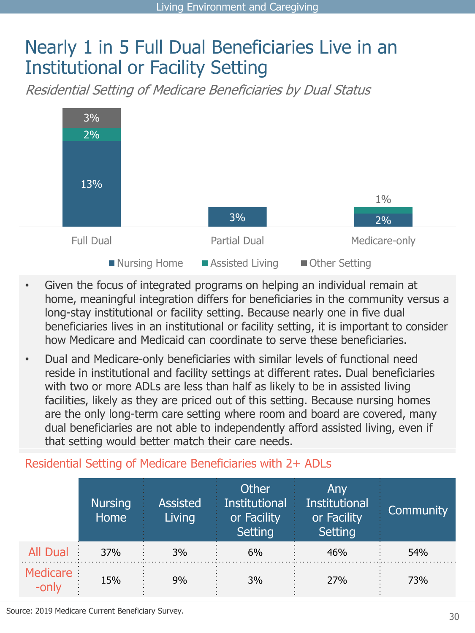### Nearly 1 in 5 Full Dual Beneficiaries Live in an Institutional or Facility Setting

Residential Setting of Medicare Beneficiaries by Dual Status



- Given the focus of integrated programs on helping an individual remain at home, meaningful integration differs for beneficiaries in the community versus a long-stay institutional or facility setting. Because nearly one in five dual beneficiaries lives in an institutional or facility setting, it is important to consider how Medicare and Medicaid can coordinate to serve these beneficiaries.
- Dual and Medicare-only beneficiaries with similar levels of functional need reside in institutional and facility settings at different rates. Dual beneficiaries with two or more ADLs are less than half as likely to be in assisted living facilities, likely as they are priced out of this setting. Because nursing homes are the only long-term care setting where room and board are covered, many dual beneficiaries are not able to independently afford assisted living, even if that setting would better match their care needs.

#### Residential Setting of Medicare Beneficiaries with 2+ ADLs

|                 | <b>Nursing</b><br>Home | <b>Assisted</b><br>Living | <b>Other</b><br><b>Institutional</b><br>or Facility<br><b>Setting</b> | Any<br><b>Institutional</b><br>or Facility<br>Setting | Community |
|-----------------|------------------------|---------------------------|-----------------------------------------------------------------------|-------------------------------------------------------|-----------|
| <b>All Dual</b> | 37%                    | 3%                        | 6%                                                                    | 46%                                                   | 54%       |
| Medicare        | 15%                    | 9%                        | 3%                                                                    | 27%                                                   | 73%       |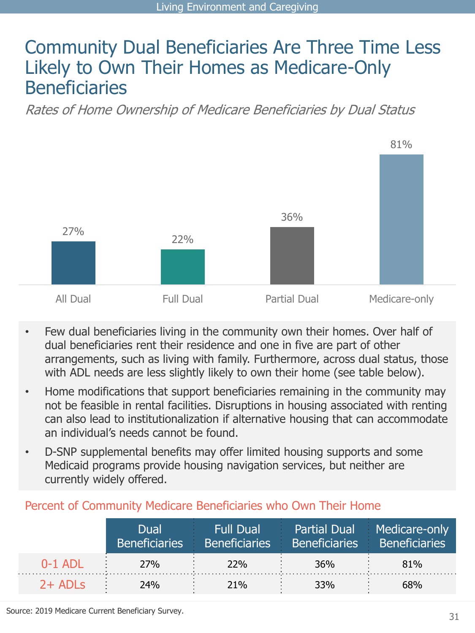### Community Dual Beneficiaries Are Three Time Less Likely to Own Their Homes as Medicare-Only **Beneficiaries**

Rates of Home Ownership of Medicare Beneficiaries by Dual Status



- Few dual beneficiaries living in the community own their homes. Over half of dual beneficiaries rent their residence and one in five are part of other arrangements, such as living with family. Furthermore, across dual status, those with ADL needs are less slightly likely to own their home (see table below).
- Home modifications that support beneficiaries remaining in the community may not be feasible in rental facilities. Disruptions in housing associated with renting can also lead to institutionalization if alternative housing that can accommodate an individual's needs cannot be found.
- D-SNP supplemental benefits may offer limited housing supports and some Medicaid programs provide housing navigation services, but neither are currently widely offered.

#### Percent of Community Medicare Beneficiaries who Own Their Home

|           | Dual<br><b>Beneficiaries</b> |            | <b>Example 18 Full Dual</b> Partial Dual Medicare-only<br>Beneficiaries Beneficiaries Beneficiaries |     |
|-----------|------------------------------|------------|-----------------------------------------------------------------------------------------------------|-----|
| $0-1$ ADI | <b>27%</b>                   | <b>22%</b> | 36%                                                                                                 | 81% |
| $2+$ ADLs | 24%                          | 21%        | 33%                                                                                                 | 68% |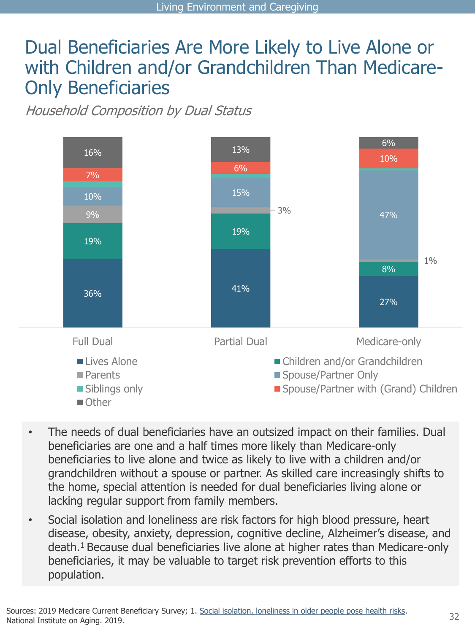### Dual Beneficiaries Are More Likely to Live Alone or with Children and/or Grandchildren Than Medicare-Only Beneficiaries

Household Composition by Dual Status



- The needs of dual beneficiaries have an outsized impact on their families. Dual beneficiaries are one and a half times more likely than Medicare-only beneficiaries to live alone and twice as likely to live with a children and/or grandchildren without a spouse or partner. As skilled care increasingly shifts to the home, special attention is needed for dual beneficiaries living alone or lacking regular support from family members.
- Social isolation and loneliness are risk factors for high blood pressure, heart disease, obesity, anxiety, depression, cognitive decline, Alzheimer's disease, and death.<sup>1</sup> Because dual beneficiaries live alone at higher rates than Medicare-only beneficiaries, it may be valuable to target risk prevention efforts to this population.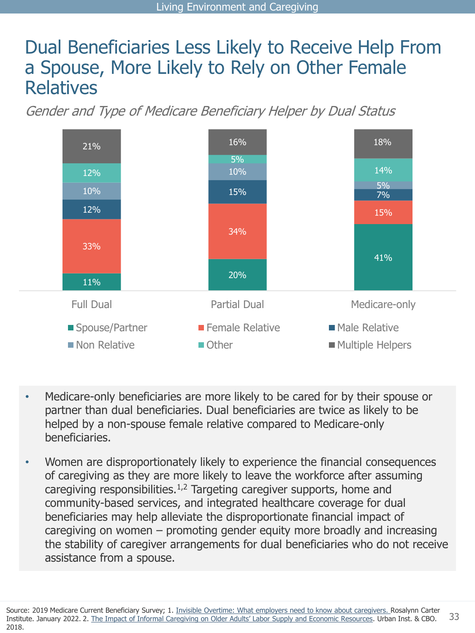### Dual Beneficiaries Less Likely to Receive Help From a Spouse, More Likely to Rely on Other Female Relatives

Gender and Type of Medicare Beneficiary Helper by Dual Status



- Medicare-only beneficiaries are more likely to be cared for by their spouse or partner than dual beneficiaries. Dual beneficiaries are twice as likely to be helped by a non-spouse female relative compared to Medicare-only beneficiaries.
- Women are disproportionately likely to experience the financial consequences of caregiving as they are more likely to leave the workforce after assuming caregiving responsibilities.<sup>1,2</sup> Targeting caregiver supports, home and community-based services, and integrated healthcare coverage for dual beneficiaries may help alleviate the disproportionate financial impact of caregiving on women – promoting gender equity more broadly and increasing the stability of caregiver arrangements for dual beneficiaries who do not receive assistance from a spouse.

33 Source: 2019 Medicare Current Beneficiary Survey; 1. [Invisible Overtime: What employers need to know about caregivers.](https://www.rosalynncarter.org/wp-content/uploads/2022/03/Invisible-Overtime-White-Paper.pdf) Rosalynn Carter Institute. January 2022. 2. [The Impact of Informal Caregiving on Older Adults' Labor Supply and Economic Resources](https://ntanet.org/wp-content/uploads/2019/03/Session1264_Paper1692_FullPaper_1.pdf). Urban Inst. & CBO. 2018.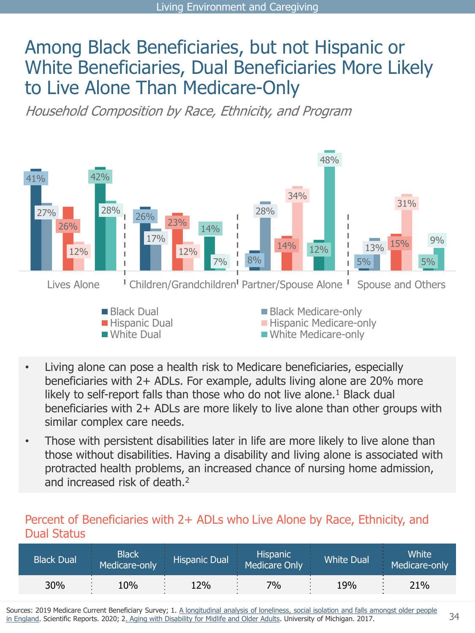### Among Black Beneficiaries, but not Hispanic or White Beneficiaries, Dual Beneficiaries More Likely to Live Alone Than Medicare-Only

Household Composition by Race, Ethnicity, and Program



- Living alone can pose a health risk to Medicare beneficiaries, especially beneficiaries with 2+ ADLs. For example, adults living alone are 20% more likely to self-report falls than those who do not live alone.<sup>1</sup> Black dual beneficiaries with 2+ ADLs are more likely to live alone than other groups with similar complex care needs.
- Those with persistent disabilities later in life are more likely to live alone than those without disabilities. Having a disability and living alone is associated with protracted health problems, an increased chance of nursing home admission, and increased risk of death.<sup>2</sup>

#### Percent of Beneficiaries with 2+ ADLs who Live Alone by Race, Ethnicity, and Dual Status

| <b>Black Dual</b> | <b>Black</b><br>Medicare-only | <b>Hispanic Dual</b> | <b>Hispanic</b><br>Medicare Only | <b>White Dual</b> | White'<br>Medicare-only |
|-------------------|-------------------------------|----------------------|----------------------------------|-------------------|-------------------------|
| 30%               | 10%                           | L2%                  | $7\%$                            | 19%               | 21%                     |

Sources: 2019 Medicare Current Beneficiary Survey; 1. A longitudinal analysis of loneliness, social isolation and falls amongst older people in England. Scientific Reports. 2020; 2[. Aging with Disability for Midlife and Older Adults](https://www.psc.isr.umich.edu/pubs/pdf/rr17-876.pdf). University of Michigan. 2017.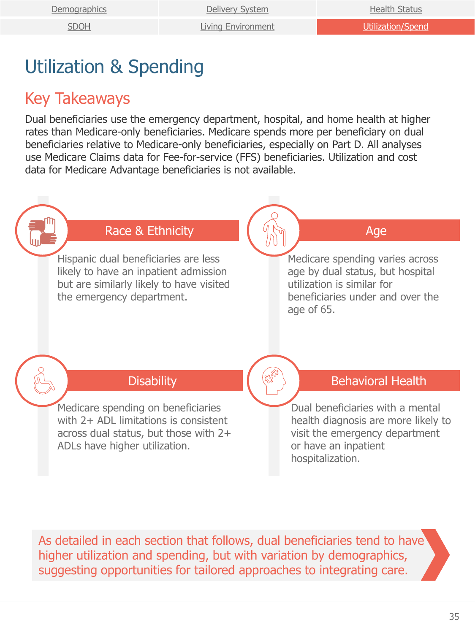[SDOH](#page-22-0) [Living Environment](#page-28-0) [Utilization/Spend](#page-34-0)

# <span id="page-34-0"></span>Utilization & Spending

### Key Takeaways

Dual beneficiaries use the emergency department, hospital, and home health at higher rates than Medicare-only beneficiaries. Medicare spends more per beneficiary on dual beneficiaries relative to Medicare-only beneficiaries, especially on Part D. All analyses use Medicare Claims data for Fee-for-service (FFS) beneficiaries. Utilization and cost data for Medicare Advantage beneficiaries is not available.



As detailed in each section that follows, dual beneficiaries tend to have higher utilization and spending, but with variation by demographics, suggesting opportunities for tailored approaches to integrating care.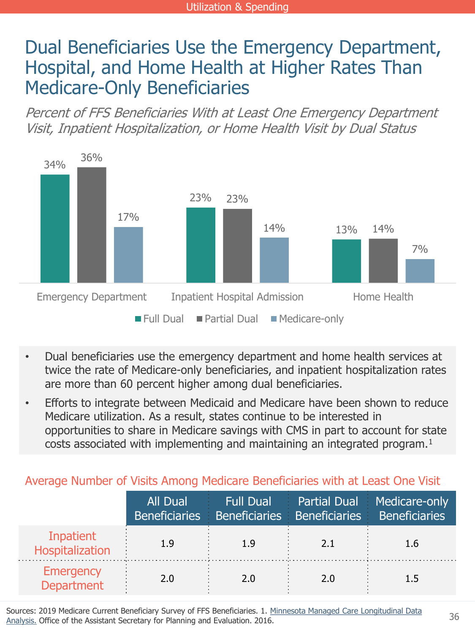### Dual Beneficiaries Use the Emergency Department, Hospital, and Home Health at Higher Rates Than Medicare-Only Beneficiaries

Percent of FFS Beneficiaries With at Least One Emergency Department Visit, Inpatient Hospitalization, or Home Health Visit by Dual Status



- Dual beneficiaries use the emergency department and home health services at twice the rate of Medicare-only beneficiaries, and inpatient hospitalization rates are more than 60 percent higher among dual beneficiaries.
- Efforts to integrate between Medicaid and Medicare have been shown to reduce Medicare utilization. As a result, states continue to be interested in opportunities to share in Medicare savings with CMS in part to account for state costs associated with implementing and maintaining an integrated program.<sup>1</sup>

Average Number of Visits Among Medicare Beneficiaries with at Least One Visit

|                                       | All Dual | <b>Example 1</b> Full Dual<br>Beneficiaries Beneficiaries Beneficiaries Beneficiaries |     | <b>Partial Dual Medicare-only</b> |
|---------------------------------------|----------|---------------------------------------------------------------------------------------|-----|-----------------------------------|
| Inpatient<br>Hospitalization          |          |                                                                                       | 2.1 | 1.6                               |
| <b>Emergency</b><br><b>Department</b> | 24       | 2.0                                                                                   | 2.0 |                                   |

[Sources: 2019 Medicare Current Beneficiary Survey of FFS Beneficiaries. 1. Minnesota Managed Care Longitudinal Data](https://aspe.hhs.gov/reports/minnesota-managed-care-longitudinal-data-analysis-0)  Analysis. Office of the Assistant Secretary for Planning and Evaluation. 2016.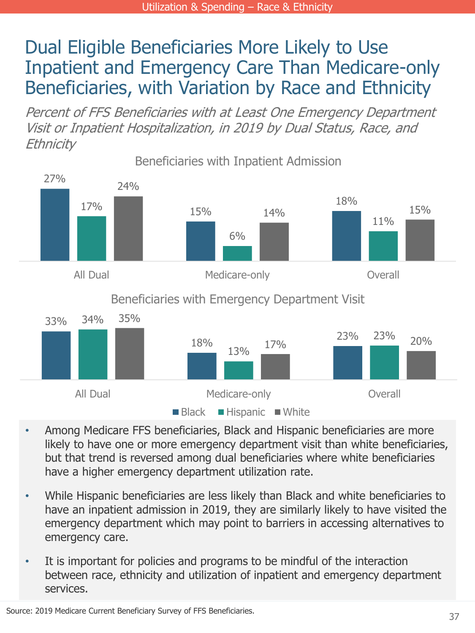### Dual Eligible Beneficiaries More Likely to Use Inpatient and Emergency Care Than Medicare-only Beneficiaries, with Variation by Race and Ethnicity

Percent of FFS Beneficiaries with at Least One Emergency Department Visit or Inpatient Hospitalization, in 2019 by Dual Status, Race, and **Ethnicity** 



- Among Medicare FFS beneficiaries, Black and Hispanic beneficiaries are more likely to have one or more emergency department visit than white beneficiaries, but that trend is reversed among dual beneficiaries where white beneficiaries have a higher emergency department utilization rate.
- While Hispanic beneficiaries are less likely than Black and white beneficiaries to have an inpatient admission in 2019, they are similarly likely to have visited the emergency department which may point to barriers in accessing alternatives to emergency care.
- It is important for policies and programs to be mindful of the interaction between race, ethnicity and utilization of inpatient and emergency department services.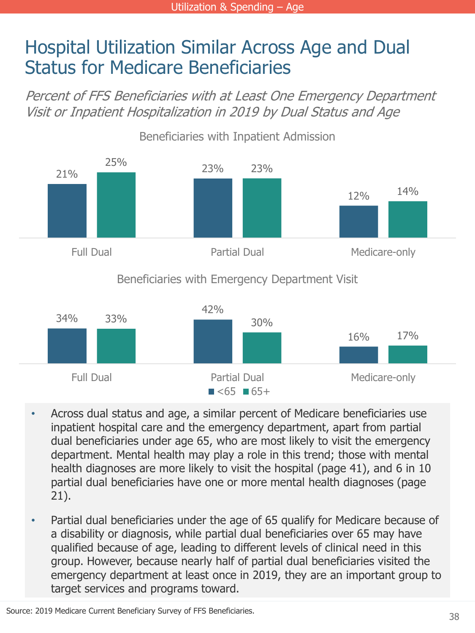### <span id="page-37-0"></span>Hospital Utilization Similar Across Age and Dual Status for Medicare Beneficiaries

Percent of FFS Beneficiaries with at Least One Emergency Department Visit or Inpatient Hospitalization in 2019 by Dual Status and Age



- Across dual status and age, a similar percent of Medicare beneficiaries use inpatient hospital care and the emergency department, apart from partial dual beneficiaries under age 65, who are most likely to visit the emergency department. Mental health may play a role in this trend; those with mental health diagnoses are more likely to visit the hospital (page 41), and 6 in 10 partial dual beneficiaries have one or more mental health diagnoses (page 21).
- Partial dual beneficiaries under the age of 65 qualify for Medicare because of a disability or diagnosis, while partial dual beneficiaries over 65 may have qualified because of age, leading to different levels of clinical need in this group. However, because nearly half of partial dual beneficiaries visited the emergency department at least once in 2019, they are an important group to target services and programs toward.

Source: 2019 Medicare Current Beneficiary Survey of FFS Beneficiaries.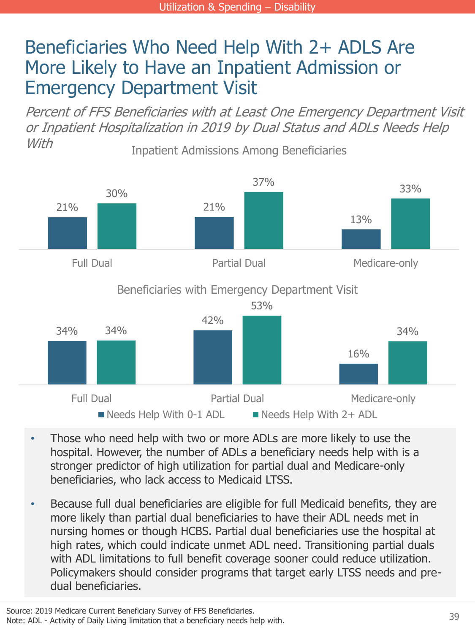### Beneficiaries Who Need Help With 2+ ADLS Are More Likely to Have an Inpatient Admission or Emergency Department Visit

Inpatient Admissions Among Beneficiaries Percent of FFS Beneficiaries with at Least One Emergency Department Visit or Inpatient Hospitalization in 2019 by Dual Status and ADLs Needs Help With



- Those who need help with two or more ADLs are more likely to use the hospital. However, the number of ADLs a beneficiary needs help with is a stronger predictor of high utilization for partial dual and Medicare-only beneficiaries, who lack access to Medicaid LTSS.
- Because full dual beneficiaries are eligible for full Medicaid benefits, they are more likely than partial dual beneficiaries to have their ADL needs met in nursing homes or though HCBS. Partial dual beneficiaries use the hospital at high rates, which could indicate unmet ADL need. Transitioning partial duals with ADL limitations to full benefit coverage sooner could reduce utilization. Policymakers should consider programs that target early LTSS needs and predual beneficiaries.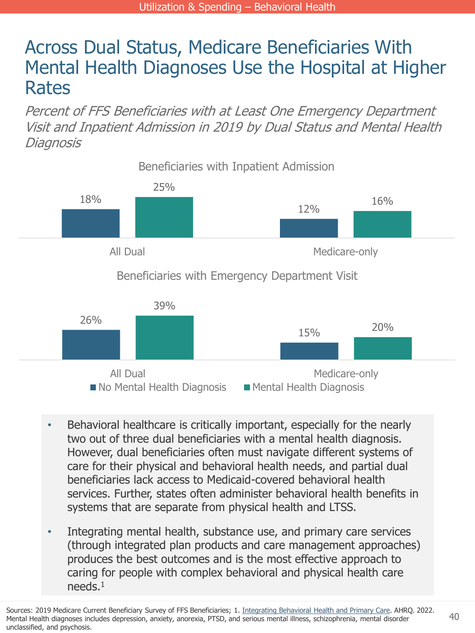### Across Dual Status, Medicare Beneficiaries With Mental Health Diagnoses Use the Hospital at Higher Rates

Percent of FFS Beneficiaries with at Least One Emergency Department Visit and Inpatient Admission in 2019 by Dual Status and Mental Health **Diagnosis** 



- Behavioral healthcare is critically important, especially for the nearly two out of three dual beneficiaries with a mental health diagnosis. However, dual beneficiaries often must navigate different systems of care for their physical and behavioral health needs, and partial dual beneficiaries lack access to Medicaid-covered behavioral health services. Further, states often administer behavioral health benefits in systems that are separate from physical health and LTSS.
- Integrating mental health, substance use, and primary care services (through integrated plan products and care management approaches) produces the best outcomes and is the most effective approach to caring for people with complex behavioral and physical health care needs.<sup>1</sup>

Sources: 2019 Medicare Current Beneficiary Survey of FFS Beneficiaries; 1. [Integrating Behavioral Health and Primary Care](https://integrationacademy.ahrq.gov/about/integrated-behavioral-health). AHRQ. 2022. Mental Health diagnoses includes depression, anxiety, anorexia, PTSD, and serious mental illness, schizophrenia, mental disorder unclassified, and psychosis.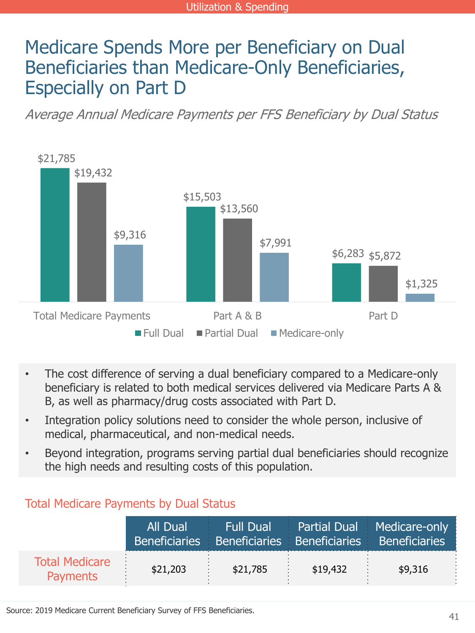### Medicare Spends More per Beneficiary on Dual Beneficiaries than Medicare-Only Beneficiaries, Especially on Part D

Average Annual Medicare Payments per FFS Beneficiary by Dual Status



- The cost difference of serving a dual beneficiary compared to a Medicare-only beneficiary is related to both medical services delivered via Medicare Parts A & B, as well as pharmacy/drug costs associated with Part D.
- Integration policy solutions need to consider the whole person, inclusive of medical, pharmaceutical, and non-medical needs.
- Beyond integration, programs serving partial dual beneficiaries should recognize the high needs and resulting costs of this population.

| <b>TULCIT PICUICATE L'AVITICHES DY DUAL JUALIST</b> |          |          |          |                                                                                                                  |
|-----------------------------------------------------|----------|----------|----------|------------------------------------------------------------------------------------------------------------------|
|                                                     | All Dual |          |          | <b>Example 1 Full Dual</b> Partial Dual Medicare-only<br>Beneficiaries Beneficiaries Beneficiaries Beneficiaries |
| <b>Total Medicare</b><br><b>Payments</b>            | \$21,203 | \$21,785 | \$19,432 | \$9,316                                                                                                          |

#### Total Medicare Payments by Dual Status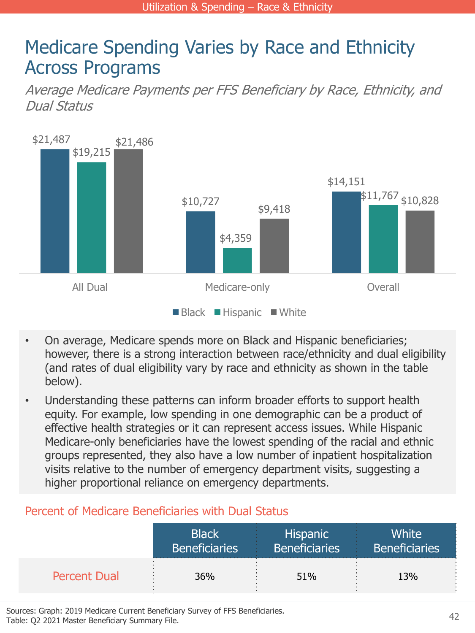### Medicare Spending Varies by Race and Ethnicity Across Programs

Average Medicare Payments per FFS Beneficiary by Race, Ethnicity, and Dual Status



- On average, Medicare spends more on Black and Hispanic beneficiaries; however, there is a strong interaction between race/ethnicity and dual eligibility (and rates of dual eligibility vary by race and ethnicity as shown in the table below).
- Understanding these patterns can inform broader efforts to support health equity. For example, low spending in one demographic can be a product of effective health strategies or it can represent access issues. While Hispanic Medicare-only beneficiaries have the lowest spending of the racial and ethnic groups represented, they also have a low number of inpatient hospitalization visits relative to the number of emergency department visits, suggesting a higher proportional reliance on emergency departments.

#### Percent of Medicare Beneficiaries with Dual Status

|                     | <b>Black</b>         | <b>Hispanic</b>      | <b>White</b>         |
|---------------------|----------------------|----------------------|----------------------|
|                     | <b>Beneficiaries</b> | <b>Beneficiaries</b> | <b>Beneficiaries</b> |
| <b>Percent Dual</b> | 36%                  | 51%                  | 13%                  |

Sources: Graph: 2019 Medicare Current Beneficiary Survey of FFS Beneficiaries. Table: Q2 2021 Master Beneficiary Summary File.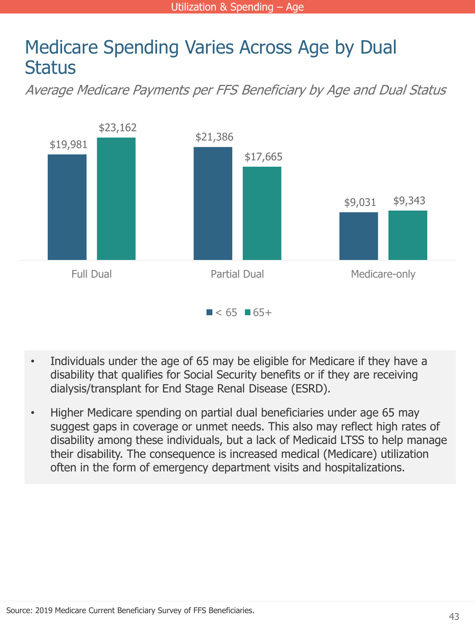### Medicare Spending Varies Across Age by Dual **Status**

Average Medicare Payments per FFS Beneficiary by Age and Dual Status



- Individuals under the age of 65 may be eligible for Medicare if they have a disability that qualifies for Social Security benefits or if they are receiving dialysis/transplant for End Stage Renal Disease (ESRD).
- Higher Medicare spending on partial dual beneficiaries under age 65 may suggest gaps in coverage or unmet needs. This also may reflect high rates of disability among these individuals, but a lack of Medicaid LTSS to help manage their disability. The consequence is increased medical (Medicare) utilization often in the form of emergency department visits and hospitalizations.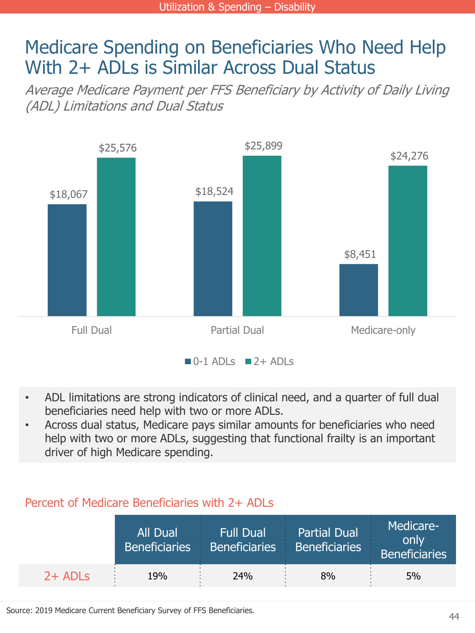### Medicare Spending on Beneficiaries Who Need Help With 2+ ADLs is Similar Across Dual Status

Average Medicare Payment per FFS Beneficiary by Activity of Daily Living (ADL) Limitations and Dual Status



- ADL limitations are strong indicators of clinical need, and a quarter of full dual beneficiaries need help with two or more ADLs.
- Across dual status, Medicare pays similar amounts for beneficiaries who need help with two or more ADLs, suggesting that functional frailty is an important driver of high Medicare spending.

#### Percent of Medicare Beneficiaries with 2+ ADLs

|           | All Dual | <b>Full Dual</b><br>Beneficiaries Beneficiaries | <b>Partial Dual</b><br><b>Beneficiaries</b><br>99 | Medicare-<br>only<br><b>Beneficiaries</b> |
|-----------|----------|-------------------------------------------------|---------------------------------------------------|-------------------------------------------|
| $2+$ ADLs | 19%      | 24%                                             | 8%                                                | 5%                                        |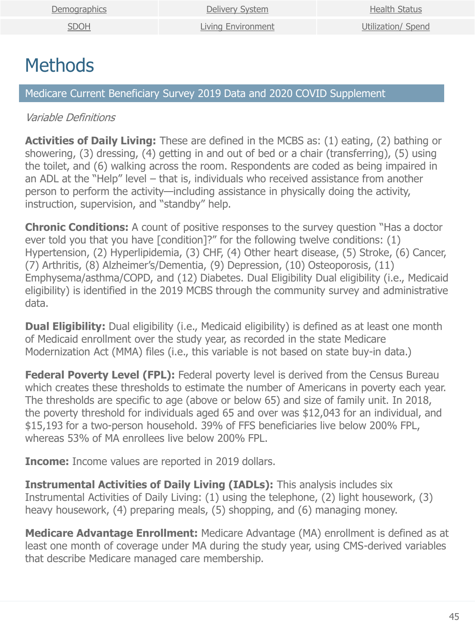# <span id="page-44-0"></span>**Methods**

Medicare Current Beneficiary Survey 2019 Data and 2020 COVID Supplement

#### Variable Definitions

**Activities of Daily Living:** These are defined in the MCBS as: (1) eating, (2) bathing or showering, (3) dressing, (4) getting in and out of bed or a chair (transferring), (5) using the toilet, and (6) walking across the room. Respondents are coded as being impaired in an ADL at the "Help" level – that is, individuals who received assistance from another person to perform the activity—including assistance in physically doing the activity, instruction, supervision, and "standby" help.

**Chronic Conditions:** A count of positive responses to the survey question "Has a doctor" ever told you that you have [condition]?" for the following twelve conditions: (1) Hypertension, (2) Hyperlipidemia, (3) CHF, (4) Other heart disease, (5) Stroke, (6) Cancer, (7) Arthritis, (8) Alzheimer's/Dementia, (9) Depression, (10) Osteoporosis, (11) Emphysema/asthma/COPD, and (12) Diabetes. Dual Eligibility Dual eligibility (i.e., Medicaid eligibility) is identified in the 2019 MCBS through the community survey and administrative data.

**Dual Eligibility:** Dual eligibility (i.e., Medicaid eligibility) is defined as at least one month of Medicaid enrollment over the study year, as recorded in the state Medicare Modernization Act (MMA) files (i.e., this variable is not based on state buy-in data.)

**Federal Poverty Level (FPL):** Federal poverty level is derived from the Census Bureau which creates these thresholds to estimate the number of Americans in poverty each year. The thresholds are specific to age (above or below 65) and size of family unit. In 2018, the poverty threshold for individuals aged 65 and over was \$12,043 for an individual, and \$15,193 for a two-person household. 39% of FFS beneficiaries live below 200% FPL, whereas 53% of MA enrollees live below 200% FPL.

**Income:** Income values are reported in 2019 dollars.

**Instrumental Activities of Daily Living (IADLs):** This analysis includes six Instrumental Activities of Daily Living: (1) using the telephone, (2) light housework, (3) heavy housework, (4) preparing meals, (5) shopping, and (6) managing money.

**Medicare Advantage Enrollment:** Medicare Advantage (MA) enrollment is defined as at least one month of coverage under MA during the study year, using CMS-derived variables that describe Medicare managed care membership.